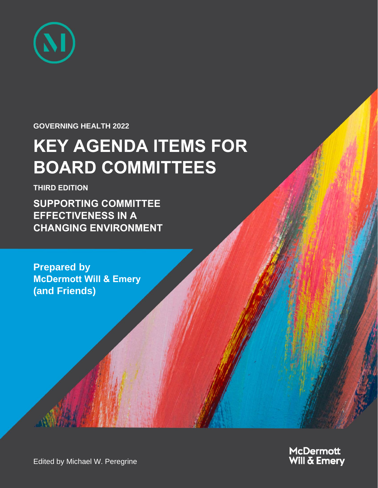

#### **GOVERNING HEALTH 2022**

# **KEY AGENDA ITEMS FOR BOARD COMMITTEES**

**THIRD EDITION**

**SUPPORTING COMMITTEE EFFECTIVENESS IN A CHANGING ENVIRONMENT**

**Prepared by McDermott Will & Emery (and Friends)**



Edited by Michael W. Peregrine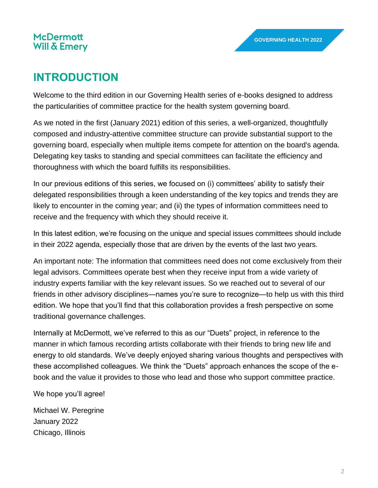## **INTRODUCTION**

Welcome to the third edition in our Governing Health series of e-books designed to address the particularities of committee practice for the health system governing board.

As we noted in the first (January 2021) edition of this series, a well-organized, thoughtfully composed and industry-attentive committee structure can provide substantial support to the governing board, especially when multiple items compete for attention on the board's agenda. Delegating key tasks to standing and special committees can facilitate the efficiency and thoroughness with which the board fulfills its responsibilities.

In our previous editions of this series, we focused on (i) committees' ability to satisfy their delegated responsibilities through a keen understanding of the key topics and trends they are likely to encounter in the coming year; and (ii) the types of information committees need to receive and the frequency with which they should receive it.

In this latest edition, we're focusing on the unique and special issues committees should include in their 2022 agenda, especially those that are driven by the events of the last two years.

An important note: The information that committees need does not come exclusively from their legal advisors. Committees operate best when they receive input from a wide variety of industry experts familiar with the key relevant issues. So we reached out to several of our friends in other advisory disciplines—names you're sure to recognize—to help us with this third edition. We hope that you'll find that this collaboration provides a fresh perspective on some traditional governance challenges.

Internally at McDermott, we've referred to this as our "Duets" project, in reference to the manner in which famous recording artists collaborate with their friends to bring new life and energy to old standards. We've deeply enjoyed sharing various thoughts and perspectives with these accomplished colleagues. We think the "Duets" approach enhances the scope of the ebook and the value it provides to those who lead and those who support committee practice.

We hope you'll agree!

Michael W. Peregrine January 2022 Chicago, Illinois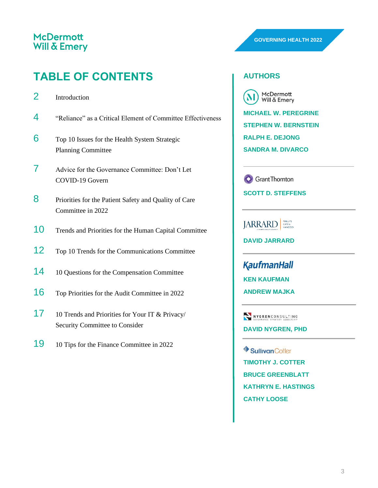## **TABLE OF CONTENTS**

- 4 "Reliance" as a Critical Element of Committee Effectiveness
- 6 Top 10 Issues for the Health System Strategic Planning Committee
- 7 Advice for the Governance Committee: Don't Let COVID-19 Govern
- 8 Priorities for the Patient Safety and Quality of Care Committee in 2022
- 10 Trends and Priorities for the Human Capital Committee
- 12 Top 10 Trends for the Communications Committee
- 14 10 Questions for the Compensation Committee
- 16 Top Priorities for the Audit Committee in 2022
- 17 10 Trends and Priorities for Your IT & Privacy/ Security Committee to Consider
- 19 10 Tips for the Finance Committee in 2022

#### **AUTHORS**

McDermott Will & Emery **MICHAEL W. PEREGRINE STEPHEN W. BERNSTEIN RALPH E. DEJONG**

**SANDRA M. DIVARCO**

**O** Grant Thornton

**SCOTT D. STEFFENS**

**JARRARD** 

**DAVID JARRARD**

**KaufmanHall KEN KAUFMAN ANDREW MAJKA**

NYGRENCONSULTING **DAVID NYGREN, PHD**

SullivanCotter **TIMOTHY J. COTTER BRUCE GREENBLATT KATHRYN E. HASTINGS CATHY LOOSE**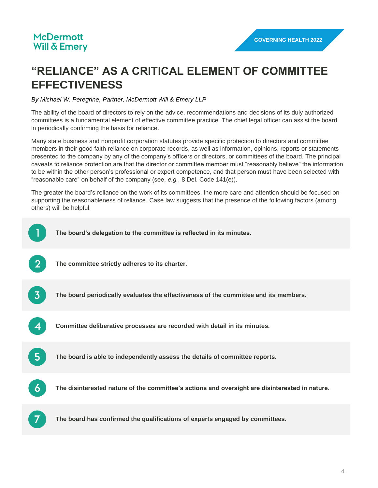## **"RELIANCE" AS A CRITICAL ELEMENT OF COMMITTEE EFFECTIVENESS**

*By Michael W. Peregrine, Partner, McDermott Will & Emery LLP*

The ability of the board of directors to rely on the advice, recommendations and decisions of its duly authorized committees is a fundamental element of effective committee practice. The chief legal officer can assist the board in periodically confirming the basis for reliance.

Many state business and nonprofit corporation statutes provide specific protection to directors and committee members in their good faith reliance on corporate records, as well as information, opinions, reports or statements presented to the company by any of the company's officers or directors, or committees of the board. The principal caveats to reliance protection are that the director or committee member must "reasonably believe" the information to be within the other person's professional or expert competence, and that person must have been selected with "reasonable care" on behalf of the company (see, *e.g.*, 8 Del. Code 141(e)).

The greater the board's reliance on the work of its committees, the more care and attention should be focused on supporting the reasonableness of reliance. Case law suggests that the presence of the following factors (among others) will be helpful:

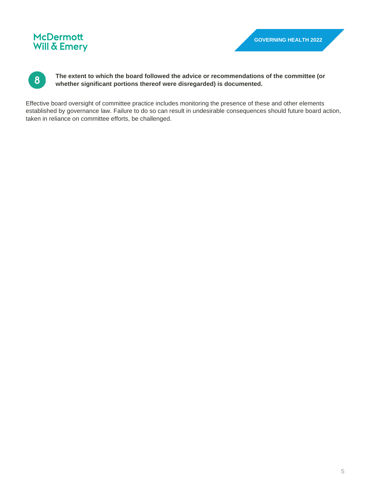

**The extent to which the board followed the advice or recommendations of the committee (or whether significant portions thereof were disregarded) is documented.**

Effective board oversight of committee practice includes monitoring the presence of these and other elements established by governance law. Failure to do so can result in undesirable consequences should future board action, taken in reliance on committee efforts, be challenged.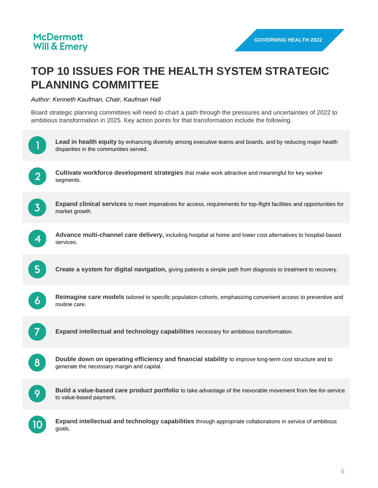## **TOP 10 ISSUES FOR THE HEALTH SYSTEM STRATEGIC PLANNING COMMITTEE**

*Author: Kenneth Kaufman, Chair, Kaufman Hall*

Board strategic planning committees will need to chart a path through the pressures and uncertainties of 2022 to ambitious transformation in 2025. Key action points for that transformation include the following.

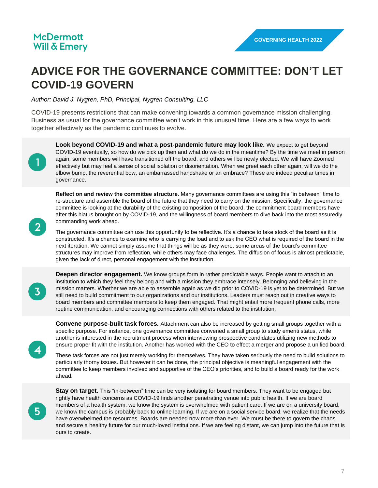## **ADVICE FOR THE GOVERNANCE COMMITTEE: DON'T LET COVID-19 GOVERN**

*Author: David J. Nygren, PhD, Principal, Nygren Consulting, LLC*

COVID-19 presents restrictions that can make convening towards a common governance mission challenging. Business as usual for the governance committee won't work in this unusual time. Here are a few ways to work together effectively as the pandemic continues to evolve.

**Look beyond COVID-19 and what a post-pandemic future may look like.** We expect to get beyond COVID-19 eventually, so how do we pick up then and what do we do in the meantime? By the time we meet in person again, some members will have transitioned off the board, and others will be newly elected. We will have Zoomed effectively but may feel a sense of social isolation or disorientation. When we greet each other again, will we do the elbow bump, the reverential bow, an embarrassed handshake or an embrace? These are indeed peculiar times in governance.

**Reflect on and review the committee structure.** Many governance committees are using this "in between" time to re-structure and assemble the board of the future that they need to carry on the mission. Specifically, the governance committee is looking at the durability of the existing composition of the board, the commitment board members have after this hiatus brought on by COVID-19, and the willingness of board members to dive back into the most assuredly commanding work ahead.

The governance committee can use this opportunity to be reflective. It's a chance to take stock of the board as it is constructed. It's a chance to examine who is carrying the load and to ask the CEO what is required of the board in the next iteration. We cannot simply assume that things will be as they were; some areas of the board's committee structures may improve from reflection, while others may face challenges. The diffusion of focus is almost predictable, given the lack of direct, personal engagement with the institution.

**Deepen director engagement.** We know groups form in rather predictable ways. People want to attach to an institution to which they feel they belong and with a mission they embrace intensely. Belonging and believing in the mission matters. Whether we are able to assemble again as we did prior to COVID-19 is yet to be determined. But we still need to build commitment to our organizations and our institutions. Leaders must reach out in creative ways to board members and committee members to keep them engaged. That might entail more frequent phone calls, more routine communication, and encouraging connections with others related to the institution.

**Convene purpose-built task forces.** Attachment can also be increased by getting small groups together with a specific purpose. For instance, one governance committee convened a small group to study emeriti status, while another is interested in the recruitment process when interviewing prospective candidates utilizing new methods to ensure proper fit with the institution. Another has worked with the CEO to effect a merger and propose a unified board.

These task forces are not just merely working for themselves. They have taken seriously the need to build solutions to particularly thorny issues. But however it can be done, the principal objective is meaningful engagement with the committee to keep members involved and supportive of the CEO's priorities, and to build a board ready for the work ahead.

 $5<sup>1</sup>$ 

 $2<sup>1</sup>$ 

 $\overline{3}$ 

**Stay on target.** This "in-between" time can be very isolating for board members. They want to be engaged but rightly have health concerns as COVID-19 finds another penetrating venue into public health. If we are board members of a health system, we know the system is overwhelmed with patient care. If we are on a university board, we know the campus is probably back to online learning. If we are on a social service board, we realize that the needs have overwhelmed the resources. Boards are needed now more than ever. We must be there to govern the chaos and secure a healthy future for our much-loved institutions. If we are feeling distant, we can jump into the future that is ours to create.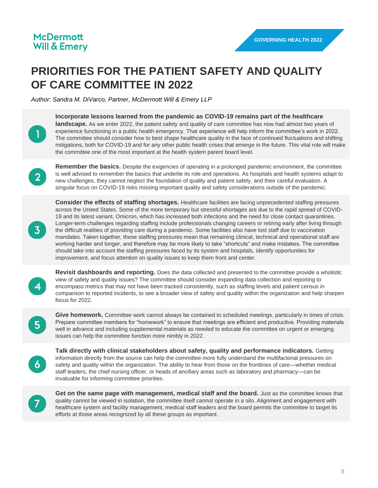## **PRIORITIES FOR THE PATIENT SAFETY AND QUALITY OF CARE COMMITTEE IN 2022**

*Author: Sandra M. DiVarco, Partner, McDermott Will & Emery LLP*



**Incorporate lessons learned from the pandemic as COVID-19 remains part of the healthcare landscape.** As we enter 2022, the patient safety and quality of care committee has now had almost two years of experience functioning in a public health emergency. That experience will help inform the committee's work in 2022. The committee should consider how to best shape healthcare quality in the face of continued fluctuations and shifting mitigations, both for COVID-19 and for any other public health crises that emerge in the future. This vital role will make the committee one of the most important at the health system parent board level.



**Remember the basics.** Despite the exigencies of operating in a prolonged pandemic environment, the committee is well advised to remember the basics that underlie its role and operations. As hospitals and health systems adapt to new challenges, they cannot neglect the foundation of quality and patient safety, and their careful evaluation. A singular focus on COVID-19 risks missing important quality and safety considerations outside of the pandemic.

 $\overline{3}$ 

**Consider the effects of staffing shortages.** Healthcare facilities are facing unprecedented staffing pressures across the United States. Some of the more temporary but stressful shortages are due to the rapid spread of COVID-19 and its latest variant, Omicron, which has increased both infections and the need for close contact quarantines. Longer-term challenges regarding staffing include professionals changing careers or retiring early after living through the difficult realities of providing care during a pandemic. Some facilities also have lost staff due to vaccination mandates. Taken together, these staffing pressures mean that remaining clinical, technical and operational staff are working harder and longer, and therefore may be more likely to take "shortcuts" and make mistakes. The committee should take into account the staffing pressures faced by its system and hospitals, identify opportunities for improvement, and focus attention on quality issues to keep them front and center.

**Revisit dashboards and reporting.** Does the data collected and presented to the committee provide a wholistic view of safety and quality issues? The committee should consider expanding data collection and reporting to encompass metrics that may not have been tracked consistently, such as staffing levels and patient census in comparison to reported incidents, to see a broader view of safety and quality within the organization and help sharpen focus for 2022.



**Give homework.** Committee work cannot always be contained to scheduled meetings, particularly in times of crisis. Prepare committee members for "homework" to ensure that meetings are efficient and productive. Providing materials well in advance and including supplemental materials as needed to educate the committee on urgent or emerging issues can help the committee function more nimbly in 2022.

 $\boldsymbol{6}$ 

**Talk directly with clinical stakeholders about safety, quality and performance indicators.** Getting information directly from the source can help the committee more fully understand the multifactorial pressures on safety and quality within the organization. The ability to hear from those on the frontlines of care—whether medical staff leaders, the chief nursing officer, or heads of ancillary areas such as laboratory and pharmacy—can be invaluable for informing committee priorities.



Get on the same page with management, medical staff and the board. Just as the committee knows that quality cannot be viewed in isolation, the committee itself cannot operate in a silo. Alignment and engagement with healthcare system and facility management, medical staff leaders and the board permits the committee to target its efforts at those areas recognized by all these groups as important.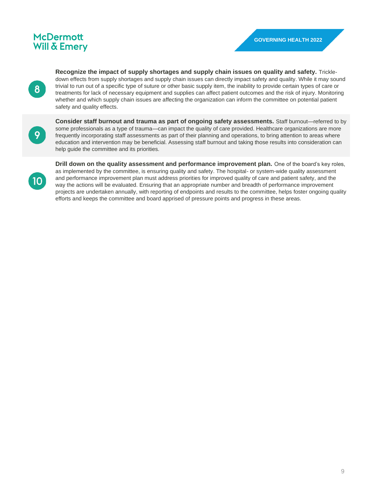**Recognize the impact of supply shortages and supply chain issues on quality and safety.** Trickledown effects from supply shortages and supply chain issues can directly impact safety and quality. While it may sound trivial to run out of a specific type of suture or other basic supply item, the inability to provide certain types of care or treatments for lack of necessary equipment and supplies can affect patient outcomes and the risk of injury. Monitoring whether and which supply chain issues are affecting the organization can inform the committee on potential patient safety and quality effects.

9

 $\bf{8}$ 

**Consider staff burnout and trauma as part of ongoing safety assessments.** Staff burnout—referred to by some professionals as a type of trauma—can impact the quality of care provided. Healthcare organizations are more frequently incorporating staff assessments as part of their planning and operations, to bring attention to areas where education and intervention may be beneficial. Assessing staff burnout and taking those results into consideration can help guide the committee and its priorities.



**Drill down on the quality assessment and performance improvement plan.** One of the board's key roles, as implemented by the committee, is ensuring quality and safety. The hospital- or system-wide quality assessment and performance improvement plan must address priorities for improved quality of care and patient safety, and the way the actions will be evaluated. Ensuring that an appropriate number and breadth of performance improvement projects are undertaken annually, with reporting of endpoints and results to the committee, helps foster ongoing quality efforts and keeps the committee and board apprised of pressure points and progress in these areas.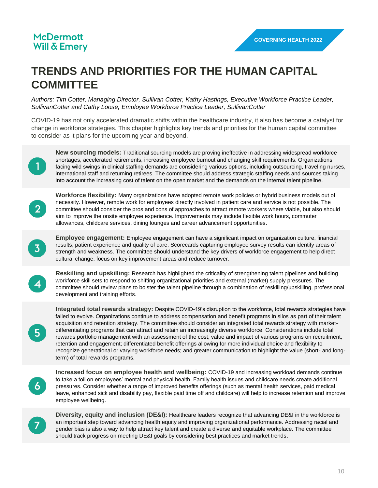## **TRENDS AND PRIORITIES FOR THE HUMAN CAPITAL COMMITTEE**

*Authors: Tim Cotter, Managing Director, Sullivan Cotter, Kathy Hastings, Executive Workforce Practice Leader, SullivanCotter and Cathy Loose, Employee Workforce Practice Leader, SullivanCotter*

COVID-19 has not only accelerated dramatic shifts within the healthcare industry, it also has become a catalyst for change in workforce strategies. This chapter highlights key trends and priorities for the human capital committee to consider as it plans for the upcoming year and beyond.



**New sourcing models:** Traditional sourcing models are proving ineffective in addressing widespread workforce shortages, accelerated retirements, increasing employee burnout and changing skill requirements. Organizations facing wild swings in clinical staffing demands are considering various options, including outsourcing, traveling nurses, international staff and returning retirees. The committee should address strategic staffing needs and sources taking into account the increasing cost of talent on the open market and the demands on the internal talent pipeline.



**Workforce flexibility:** Many organizations have adopted remote work policies or hybrid business models out of necessity. However, remote work for employees directly involved in patient care and service is not possible. The committee should consider the pros and cons of approaches to attract remote workers where viable, but also should aim to improve the onsite employee experience. Improvements may include flexible work hours, commuter allowances, childcare services, dining lounges and career advancement opportunities.



**Employee engagement:** Employee engagement can have a significant impact on organization culture, financial results, patient experience and quality of care. Scorecards capturing employee survey results can identify areas of strength and weakness. The committee should understand the key drivers of workforce engagement to help direct cultural change, focus on key improvement areas and reduce turnover.



**Reskilling and upskilling:** Research has highlighted the criticality of strengthening talent pipelines and building workforce skill sets to respond to shifting organizational priorities and external (market) supply pressures. The committee should review plans to bolster the talent pipeline through a combination of reskilling/upskilling, professional development and training efforts.



**Integrated total rewards strategy:** Despite COVID-19's disruption to the workforce, total rewards strategies have failed to evolve. Organizations continue to address compensation and benefit programs in silos as part of their talent acquisition and retention strategy. The committee should consider an integrated total rewards strategy with marketdifferentiating programs that can attract and retain an increasingly diverse workforce. Considerations include total rewards portfolio management with an assessment of the cost, value and impact of various programs on recruitment, retention and engagement; differentiated benefit offerings allowing for more individual choice and flexibility to recognize generational or varying workforce needs; and greater communication to highlight the value (short- and longterm) of total rewards programs.



**Increased focus on employee health and wellbeing:** COVID-19 and increasing workload demands continue to take a toll on employees' mental and physical health. Family health issues and childcare needs create additional pressures. Consider whether a range of improved benefits offerings (such as mental health services, paid medical leave, enhanced sick and disability pay, flexible paid time off and childcare) will help to increase retention and improve employee wellbeing.



**Diversity, equity and inclusion (DE&I):** Healthcare leaders recognize that advancing DE&I in the workforce is an important step toward advancing health equity and improving organizational performance. Addressing racial and gender bias is also a way to help attract key talent and create a diverse and equitable workplace. The committee should track progress on meeting DE&I goals by considering best practices and market trends.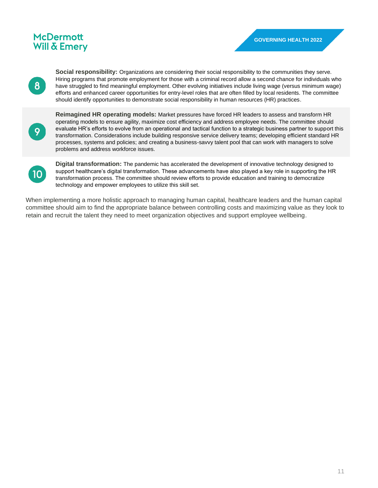$\bf{8}$ 

**Social responsibility:** Organizations are considering their social responsibility to the communities they serve. Hiring programs that promote employment for those with a criminal record allow a second chance for individuals who have struggled to find meaningful employment. Other evolving initiatives include living wage (versus minimum wage) efforts and enhanced career opportunities for entry-level roles that are often filled by local residents. The committee should identify opportunities to demonstrate social responsibility in human resources (HR) practices.



**Reimagined HR operating models:** Market pressures have forced HR leaders to assess and transform HR operating models to ensure agility, maximize cost efficiency and address employee needs. The committee should evaluate HR's efforts to evolve from an operational and tactical function to a strategic business partner to support this transformation. Considerations include building responsive service delivery teams; developing efficient standard HR processes, systems and policies; and creating a business-savvy talent pool that can work with managers to solve problems and address workforce issues.



**Digital transformation:** The pandemic has accelerated the development of innovative technology designed to support healthcare's digital transformation. These advancements have also played a key role in supporting the HR transformation process. The committee should review efforts to provide education and training to democratize technology and empower employees to utilize this skill set.

When implementing a more holistic approach to managing human capital, healthcare leaders and the human capital committee should aim to find the appropriate balance between controlling costs and maximizing value as they look to retain and recruit the talent they need to meet organization objectives and support employee wellbeing.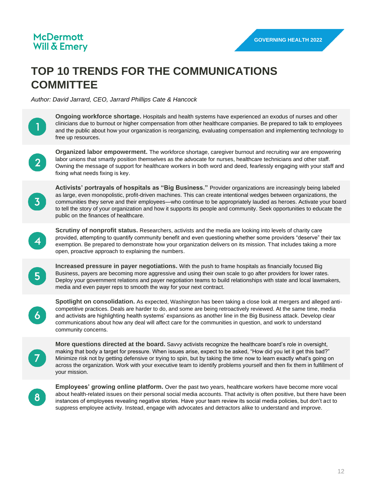## **TOP 10 TRENDS FOR THE COMMUNICATIONS COMMITTEE**

*Author: David Jarrard, CEO, Jarrard Phillips Cate & Hancock*

**Ongoing workforce shortage.** Hospitals and health systems have experienced an exodus of nurses and other clinicians due to burnout or higher compensation from other healthcare companies. Be prepared to talk to employees and the public about how your organization is reorganizing, evaluating compensation and implementing technology to free up resources.

 $\mathbf{2}$ 

**Organized labor empowerment.** The workforce shortage, caregiver burnout and recruiting war are empowering labor unions that smartly position themselves as the advocate for nurses, healthcare technicians and other staff. Owning the message of support for healthcare workers in both word and deed, fearlessly engaging with your staff and fixing what needs fixing is key.



**Activists' portrayals of hospitals as "Big Business."** Provider organizations are increasingly being labeled as large, even monopolistic, profit-driven machines. This can create intentional wedges between organizations, the communities they serve and their employees—who continue to be appropriately lauded as heroes. Activate your board to tell the story of your organization and how it supports its people and community. Seek opportunities to educate the public on the finances of healthcare.



**Scrutiny of nonprofit status.** Researchers, activists and the media are looking into levels of charity care provided, attempting to quantify community benefit and even questioning whether some providers "deserve" their tax exemption. Be prepared to demonstrate how your organization delivers on its mission. That includes taking a more open, proactive approach to explaining the numbers.



**Increased pressure in payer negotiations.** With the push to frame hospitals as financially focused Big Business, payers are becoming more aggressive and using their own scale to go after providers for lower rates. Deploy your government relations and payer negotiation teams to build relationships with state and local lawmakers, media and even payer reps to smooth the way for your next contract.



**Spotlight on consolidation.** As expected, Washington has been taking a close look at mergers and alleged anticompetitive practices. Deals are harder to do, and some are being retroactively reviewed. At the same time, media and activists are highlighting health systems' expansions as another line in the Big Business attack. Develop clear communications about how any deal will affect care for the communities in question, and work to understand community concerns.

**More questions directed at the board.** Savvy activists recognize the healthcare board's role in oversight, making that body a target for pressure. When issues arise, expect to be asked, "How did you let it get this bad?" Minimize risk not by getting defensive or trying to spin, but by taking the time now to learn exactly what's going on across the organization. Work with your executive team to identify problems yourself and then fix them in fulfillment of your mission.

 $8<sup>°</sup>$ 

 $\overline{7}$ 

**Employees' growing online platform.** Over the past two years, healthcare workers have become more vocal about health-related issues on their personal social media accounts. That activity is often positive, but there have been instances of employees revealing negative stories. Have your team review its social media policies, but don't act to suppress employee activity. Instead, engage with advocates and detractors alike to understand and improve.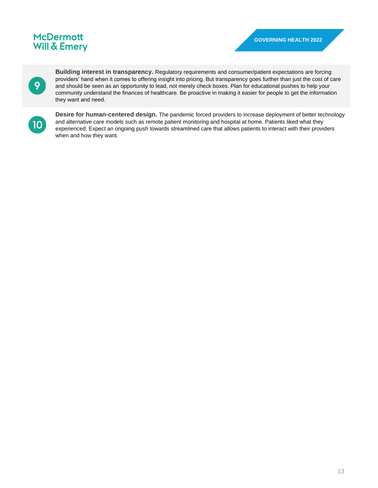9

**Building interest in transparency.** Regulatory requirements and consumer/patient expectations are forcing providers' hand when it comes to offering insight into pricing. But transparency goes further than just the cost of care and should be seen as an opportunity to lead, not merely check boxes. Plan for educational pushes to help your community understand the finances of healthcare. Be proactive in making it easier for people to get the information they want and need.



**Desire for human-centered design.** The pandemic forced providers to increase deployment of better technology and alternative care models such as remote patient monitoring and hospital at home. Patients liked what they experienced. Expect an ongoing push towards streamlined care that allows patients to interact with their providers when and how they want.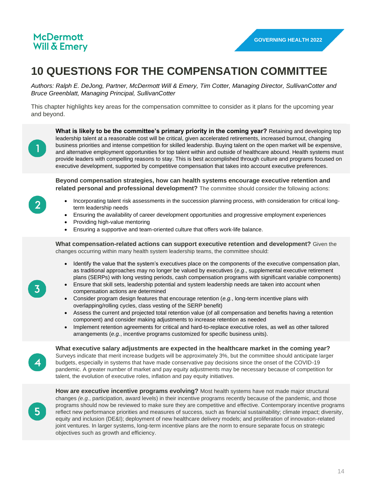## **10 QUESTIONS FOR THE COMPENSATION COMMITTEE**

*Authors: Ralph E. DeJong, Partner, McDermott Will & Emery, Tim Cotter, Managing Director, SullivanCotter and Bruce Greenblatt, Managing Principal, SullivanCotter*

This chapter highlights key areas for the compensation committee to consider as it plans for the upcoming year and beyond.

**What is likely to be the committee's primary priority in the coming year?** Retaining and developing top leadership talent at a reasonable cost will be critical, given accelerated retirements, increased burnout, changing business priorities and intense competition for skilled leadership. Buying talent on the open market will be expensive, and alternative employment opportunities for top talent within and outside of healthcare abound. Health systems must provide leaders with compelling reasons to stay. This is best accomplished through culture and programs focused on executive development, supported by competitive compensation that takes into account executive preferences.

**Beyond compensation strategies, how can health systems encourage executive retention and related personal and professional development?** The committee should consider the following actions:

- Incorporating talent risk assessments in the succession planning process, with consideration for critical longterm leadership needs
- Ensuring the availability of career development opportunities and progressive employment experiences
- Providing high-value mentoring
- Ensuring a supportive and team-oriented culture that offers work-life balance.

**What compensation-related actions can support executive retention and development?** Given the changes occurring within many health system leadership teams, the committee should:

- Identify the value that the system's executives place on the components of the executive compensation plan, as traditional approaches may no longer be valued by executives (*e.g*., supplemental executive retirement plans (SERPs) with long vesting periods, cash compensation programs with significant variable components)
- Ensure that skill sets, leadership potential and system leadership needs are taken into account when compensation actions are determined
- Consider program design features that encourage retention (*e.g.*, long-term incentive plans with overlapping/rolling cycles, class vesting of the SERP benefit)
- Assess the current and projected total retention value (of all compensation and benefits having a retention component) and consider making adjustments to increase retention as needed
- Implement retention agreements for critical and hard-to-replace executive roles, as well as other tailored arrangements (*e.g.*, incentive programs customized for specific business units).

**What executive salary adjustments are expected in the healthcare market in the coming year?**  Surveys indicate that merit increase budgets will be approximately 3%, but the committee should anticipate larger budgets, especially in systems that have made conservative pay decisions since the onset of the COVID-19 pandemic. A greater number of market and pay equity adjustments may be necessary because of competition for talent, the evolution of executive roles, inflation and pay equity initiatives.

 $5<sup>1</sup>$ 

**How are executive incentive programs evolving?** Most health systems have not made major structural changes *(e.g.*, participation, award levels) in their incentive programs recently because of the pandemic, and those programs should now be reviewed to make sure they are competitive and effective. Contemporary incentive programs reflect new performance priorities and measures of success, such as financial sustainability; climate impact; diversity, equity and inclusion (DE&I); deployment of new healthcare delivery models; and proliferation of innovation-related joint ventures. In larger systems, long-term incentive plans are the norm to ensure separate focus on strategic objectives such as growth and efficiency.

 $\overline{2}$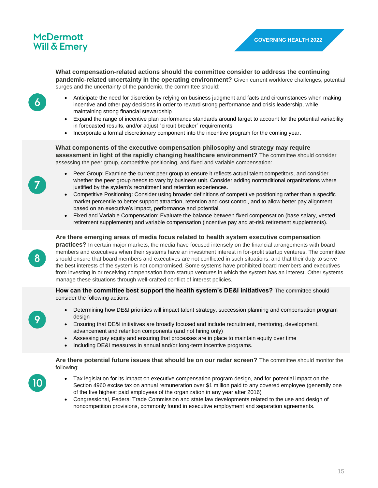**What compensation-related actions should the committee consider to address the continuing** 

**pandemic-related uncertainty in the operating environment?** Given current workforce challenges, potential surges and the uncertainty of the pandemic, the committee should:

- 6
- Anticipate the need for discretion by relying on business judgment and facts and circumstances when making incentive and other pay decisions in order to reward strong performance and crisis leadership, while maintaining strong financial stewardship
- Expand the range of incentive plan performance standards around target to account for the potential variability in forecasted results, and/or adjust "circuit breaker" requirements
- Incorporate a formal discretionary component into the incentive program for the coming year.

#### **What components of the executive compensation philosophy and strategy may require assessment in light of the rapidly changing healthcare environment?** The committee should consider assessing the peer group, competitive positioning, and fixed and variable compensation:

- Peer Group: Examine the current peer group to ensure it reflects actual talent competitors, and consider whether the peer group needs to vary by business unit. Consider adding nontraditional organizations where justified by the system's recruitment and retention experiences.
- Competitive Positioning: Consider using broader definitions of competitive positioning rather than a specific market percentile to better support attraction, retention and cost control, and to allow better pay alignment based on an executive's impact, performance and potential.
- Fixed and Variable Compensation: Evaluate the balance between fixed compensation (base salary, vested retirement supplements) and variable compensation (incentive pay and at-risk retirement supplements).

#### **Are there emerging areas of media focus related to health system executive compensation**

**practices?** In certain major markets, the media have focused intensely on the financial arrangements with board members and executives when their systems have an investment interest in for-profit startup ventures. The committee should ensure that board members and executives are not conflicted in such situations, and that their duty to serve the best interests of the system is not compromised. Some systems have prohibited board members and executives from investing in or receiving compensation from startup ventures in which the system has an interest. Other systems manage these situations through well-crafted conflict of interest policies.

**How can the committee best support the health system's DE&I initiatives?** The committee should consider the following actions:

- Determining how DE&I priorities will impact talent strategy, succession planning and compensation program design
- Ensuring that DE&I initiatives are broadly focused and include recruitment, mentoring, development, advancement and retention components (and not hiring only)
- Assessing pay equity and ensuring that processes are in place to maintain equity over time
- Including DE&I measures in annual and/or long-term incentive programs.

**Are there potential future issues that should be on our radar screen?** The committee should monitor the following:

- Tax legislation for its impact on executive compensation program design, and for potential impact on the Section 4960 excise tax on annual remuneration over \$1 million paid to any covered employee (generally one of the five highest paid employees of the organization in any year after 2016)
- Congressional, Federal Trade Commission and state law developments related to the use and design of noncompetition provisions, commonly found in executive employment and separation agreements.

 $\bf{8}$ 

10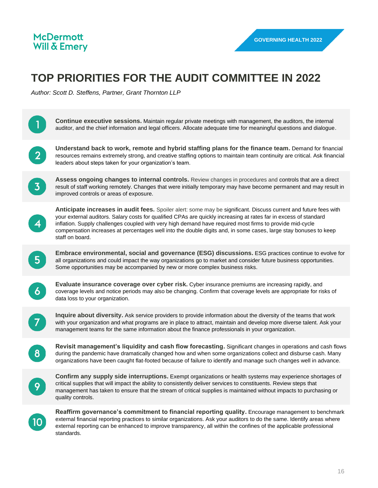## **TOP PRIORITIES FOR THE AUDIT COMMITTEE IN 2022**

*Author: Scott D. Steffens, Partner, Grant Thornton LLP*

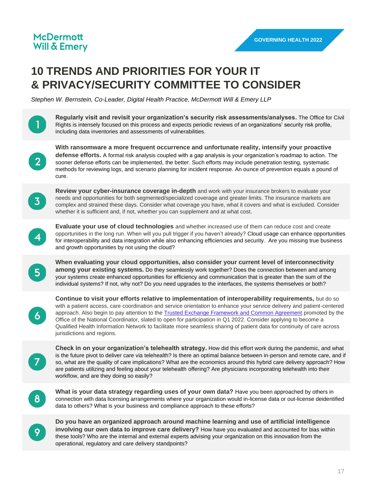## **10 TRENDS AND PRIORITIES FOR YOUR IT & PRIVACY/SECURITY COMMITTEE TO CONSIDER**

**Regularly visit and revisit your organization's security risk assessments/analyses.** The Office for Civil

*Stephen W. Bernstein, Co-Leader, Digital Health Practice, McDermott Will & Emery LLP*

Rights is intensely focused on this process and expects periodic reviews of an organizations' security risk profile, including data inventories and assessments of vulnerabilities. **With ransomware a more frequent occurrence and unfortunate reality, intensify your proactive defense efforts.** A formal risk analysis coupled with a gap analysis is your organization's roadmap to action. The  $2<sup>1</sup>$ sooner defense efforts can be implemented, the better. Such efforts may include penetration testing, systematic methods for reviewing logs, and scenario planning for incident response. An ounce of prevention equals a pound of cure. **Review your cyber-insurance coverage in-depth** and work with your insurance brokers to evaluate your needs and opportunities for both segmented/specialized coverage and greater limits. The insurance markets are complex and strained these days. Consider what coverage you have, what it covers and what is excluded. Consider whether it is sufficient and, if not, whether you can supplement and at what cost. **Evaluate your use of cloud technologies** and whether increased use of them can reduce cost and create opportunities in the long run. When will you pull trigger if you haven't already? Cloud usage can enhance opportunities for interoperability and data integration while also enhancing efficiencies and security. Are you missing true business and growth opportunities by not using the cloud? **When evaluating your cloud opportunities, also consider your current level of interconnectivity among your existing systems.** Do they seamlessly work together? Does the connection between and among  $5<sup>1</sup>$ your systems create enhanced opportunities for efficiency and communication that is greater than the sum of the individual systems? If not, why not? Do you need upgrades to the interfaces, the systems themselves or both? **Continue to visit your efforts relative to implementation of interoperability requirements,** but do so with a patient access, care coordination and service orientation to enhance your service delivery and patient-centered approach. Also begin to pay attention to the [Trusted Exchange Framework and Common Agreement](https://www.healthit.gov/topic/interoperability/trusted-exchange-framework-and-common-agreement) promoted by the  $\overline{6}$ Office of the National Coordinator, slated to open for participation in Q1 2022. Consider applying to become a Qualified Health Information Network to facilitate more seamless sharing of patient data for continuity of care across jurisdictions and regions. **Check in on your organization's telehealth strategy.** How did this effort work during the pandemic, and what is the future pivot to deliver care via telehealth? Is there an optimal balance between in-person and remote care, and if  $\mathcal{T}$ so, what are the quality of care implications? What are the economics around this hybrid care delivery approach? How are patients utilizing and feeling about your telehealth offering? Are physicians incorporating telehealth into their workflow, and are they doing so easily? **What is your data strategy regarding uses of your own data?** Have you been approached by others in connection with data licensing arrangements where your organization would in-license data or out-license deidentified data to others? What is your business and compliance approach to these efforts?

**Do you have an organized approach around machine learning and use of artificial intelligence involving our own data to improve care delivery?** How have you evaluated and accounted for bias within these tools? Who are the internal and external experts advising your organization on this innovation from the operational, regulatory and care delivery standpoints?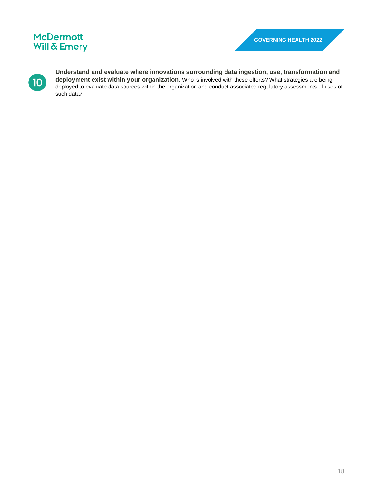

**Understand and evaluate where innovations surrounding data ingestion, use, transformation and deployment exist within your organization.** Who is involved with these efforts? What strategies are being deployed to evaluate data sources within the organization and conduct associated regulatory assessments of uses of such data?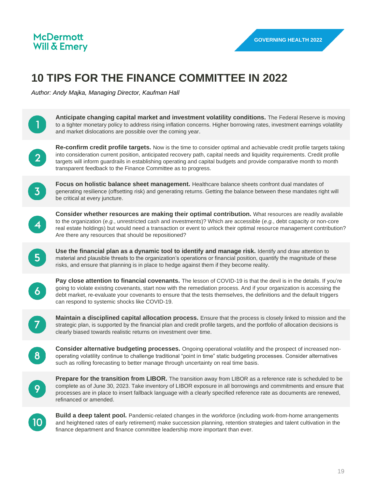## **10 TIPS FOR THE FINANCE COMMITTEE IN 2022**

*Author: Andy Majka, Managing Director, Kaufman Hall*

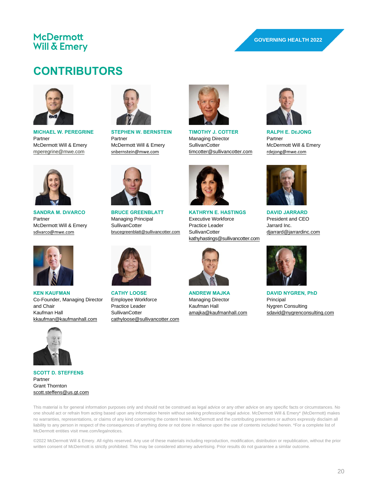## **CONTRIBUTORS**



**MICHAEL W. PEREGRINE** Partner McDermott Will & Emery [mperegrine@mwe.com](mailto:mperegrine@mwe.com)



**SANDRA M. DIVARCO** Partner McDermott Will & Emery [sdivarco@mwe.com](mailto:sdivarco@mwe.com)



**KEN KAUFMAN** Co-Founder, Managing Director and Chair Kaufman Hall [kkaufman@kaufmanhall.com](mailto:kkaufman@kaufmanhall.com)



**SCOTT D. STEFFENS** Partner Grant Thornton [scott.steffens@us.gt.com](mailto:scott.steffens@us.gt.com)



**STEPHEN W. BERNSTEIN** Partner McDermott Will & Emery [snbernstein@mwe.com](mailto:snbernstein@mwe.com)



**TIMOTHY J. COTTER** Managing Director **SullivanCotter** [timcotter@sullivancotter.com](mailto:timcotter@sullivancotter.com)

**KATHRYN E. HASTINGS** Executive Workforce Practice Leader **SullivanCotter** 

[kathyhastings@sullivancotter.com](mailto:kathyhastings@sullivancotter.com)



**RALPH E. DEJONG** Partner McDermott Will & Emery [rdejong@mwe.com](mailto:rdejong@mwe.com)



**DAVID JARRARD** President and CEO Jarrard Inc. [djarrard@jarrardinc.com](mailto:djarrard@jarrardinc.com)



**DAVID NYGREN, PhD Principal** Nygren Consulting [sdavid@nygrenconsulting.com](mailto:sdavid@nygrenconsulting.com)



**BRUCE GREENBLATT** Managing Principal **SullivanCotter** [brucegreenblatt@sullivancotter.com](mailto:brucegreenblatt@sullivancotter.com)



**CATHY LOOSE** Employee Workforce Practice Leader **SullivanCotter** [cathyloose@sullivancotter.com](mailto:cathyloose@sullivancotter.com)



**ANDREW MAJKA** Managing Director Kaufman Hall [amajka@kaufmanhall.com](mailto:amajka@kaufmanhall.com)



©2022 McDermott Will & Emery. All rights reserved. Any use of these materials including reproduction, modification, distribution or republication, without the prior written consent of McDermott is strictly prohibited. This may be considered attorney advertising. Prior results do not guarantee a similar outcome.